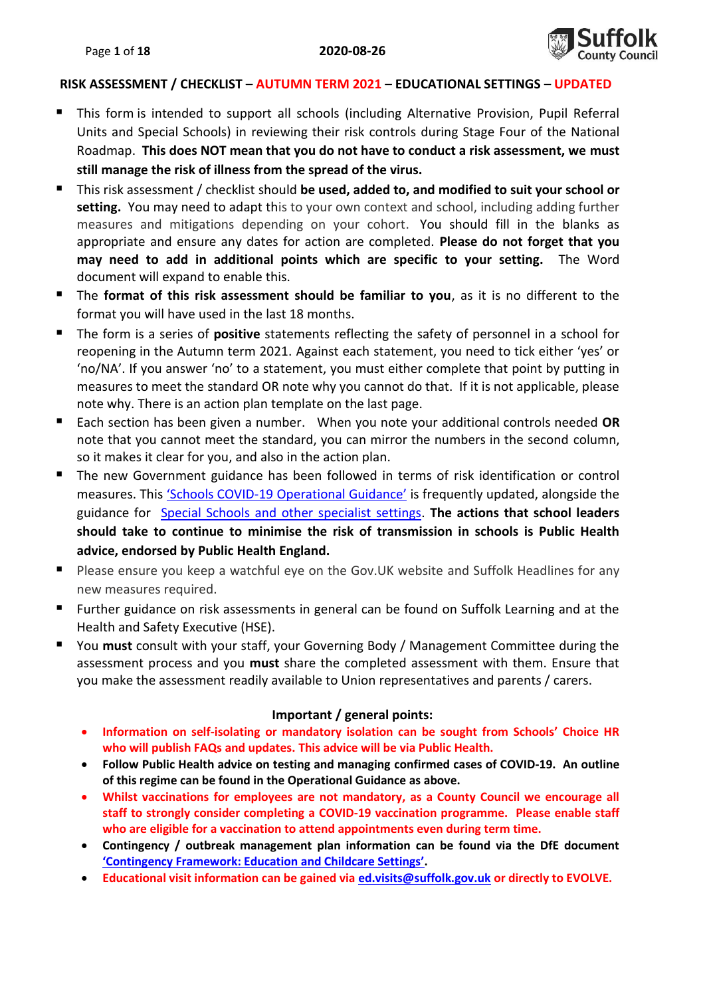

#### **RISK ASSESSMENT / CHECKLIST – AUTUMN TERM 2021 – EDUCATIONAL SETTINGS – UPDATED**

- This form is intended to support all schools (including Alternative Provision, Pupil Referral Units and Special Schools) in reviewing their risk controls during Stage Four of the National Roadmap. **This does NOT mean that you do not have to conduct a risk assessment, we must still manage the risk of illness from the spread of the virus.**
- This risk assessment / checklist should **be used, added to, and modified to suit your school or**  setting. You may need to adapt this to your own context and school, including adding further measures and mitigations depending on your cohort. You should fill in the blanks as appropriate and ensure any dates for action are completed. **Please do not forget that you may need to add in additional points which are specific to your setting.** The Word document will expand to enable this.
- The **format of this risk assessment should be familiar to you**, as it is no different to the format you will have used in the last 18 months.
- The form is a series of **positive** statements reflecting the safety of personnel in a school for reopening in the Autumn term 2021. Against each statement, you need to tick either 'yes' or 'no/NA'. If you answer 'no' to a statement, you must either complete that point by putting in measures to meet the standard OR note why you cannot do that. If it is not applicable, please note why. There is an action plan template on the last page.
- Each section has been given a number. When you note your additional controls needed **OR** note that you cannot meet the standard, you can mirror the numbers in the second column, so it makes it clear for you, and also in the action plan.
- The new Government guidance has been followed in terms of risk identification or control measures. This 'Schools COVID-[19 Operational Guidance'](https://www.gov.uk/government/publications/actions-for-schools-during-the-coronavirus-outbreak/schools-covid-19-operational-guidance#stepping) is frequently updated, alongside the guidance for [Special Schools and other specialist settings.](https://www.gov.uk/government/publications/guidance-for-full-opening-special-schools-and-other-specialist-settings) **The actions that school leaders should take to continue to minimise the risk of transmission in schools is Public Health advice, endorsed by Public Health England.**
- Please ensure you keep a watchful eye on the Gov.UK website and Suffolk Headlines for any new measures required.
- Further guidance on risk assessments in general can be found on Suffolk Learning and at the Health and Safety Executive (HSE).
- You **must** consult with your staff, your Governing Body / Management Committee during the assessment process and you **must** share the completed assessment with them. Ensure that you make the assessment readily available to Union representatives and parents / carers.

#### **Important / general points:**

- **Information on self-isolating or mandatory isolation can be sought from Schools' Choice HR who will publish FAQs and updates. This advice will be via Public Health.**
- **Follow Public Health advice on testing and managing confirmed cases of COVID-19. An outline of this regime can be found in the Operational Guidance as above.**
- **Whilst vaccinations for employees are not mandatory, as a County Council we encourage all staff to strongly consider completing a COVID-19 vaccination programme. Please enable staff who are eligible for a vaccination to attend appointments even during term time.**
- **Contingency / outbreak management plan information can be found via the DfE document ['Contingency Framework: Education and Childcare Settings'](https://assets.publishing.service.gov.uk/government/uploads/system/uploads/attachment_data/file/1011704/20210817_Contingency_Framework_FINAL.pdf).**
- **Educational visit information can be gained via [ed.visits@suffolk.gov.uk](mailto:ed.visits@suffolk.gov.uk) or directly to EVOLVE.**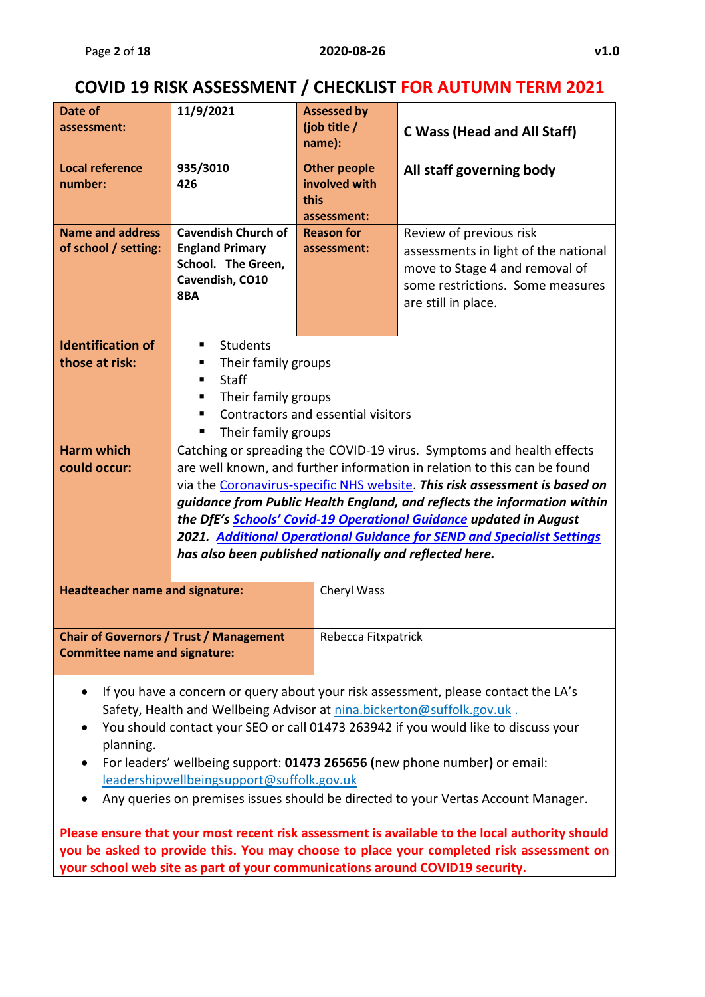### **COVID 19 RISK ASSESSMENT / CHECKLIST FOR AUTUMN TERM 2021**

| Date of                                | 11/9/2021                                                              | <b>Assessed by</b>  |                                                                                    |  |  |  |  |  |  |  |
|----------------------------------------|------------------------------------------------------------------------|---------------------|------------------------------------------------------------------------------------|--|--|--|--|--|--|--|
| assessment:                            |                                                                        | (job title /        |                                                                                    |  |  |  |  |  |  |  |
|                                        |                                                                        | name):              | <b>C Wass (Head and All Staff)</b>                                                 |  |  |  |  |  |  |  |
|                                        |                                                                        |                     |                                                                                    |  |  |  |  |  |  |  |
| <b>Local reference</b>                 | 935/3010                                                               | <b>Other people</b> | All staff governing body                                                           |  |  |  |  |  |  |  |
| number:                                | 426                                                                    | involved with       |                                                                                    |  |  |  |  |  |  |  |
|                                        |                                                                        | this                |                                                                                    |  |  |  |  |  |  |  |
| <b>Name and address</b>                | <b>Cavendish Church of</b>                                             | assessment:         |                                                                                    |  |  |  |  |  |  |  |
| of school / setting:                   | <b>England Primary</b>                                                 | <b>Reason for</b>   | Review of previous risk                                                            |  |  |  |  |  |  |  |
|                                        | School. The Green,                                                     | assessment:         | assessments in light of the national                                               |  |  |  |  |  |  |  |
|                                        | Cavendish, CO10                                                        |                     | move to Stage 4 and removal of                                                     |  |  |  |  |  |  |  |
|                                        | 8BA                                                                    |                     | some restrictions. Some measures                                                   |  |  |  |  |  |  |  |
|                                        |                                                                        |                     | are still in place.                                                                |  |  |  |  |  |  |  |
|                                        |                                                                        |                     |                                                                                    |  |  |  |  |  |  |  |
| <b>Identification of</b>               | ٠                                                                      | <b>Students</b>     |                                                                                    |  |  |  |  |  |  |  |
| those at risk:                         | Their family groups<br>п                                               |                     |                                                                                    |  |  |  |  |  |  |  |
|                                        | <b>Staff</b><br>٠                                                      |                     |                                                                                    |  |  |  |  |  |  |  |
|                                        | Their family groups<br>п                                               |                     |                                                                                    |  |  |  |  |  |  |  |
|                                        | Contractors and essential visitors<br>п                                |                     |                                                                                    |  |  |  |  |  |  |  |
|                                        | Their family groups                                                    |                     |                                                                                    |  |  |  |  |  |  |  |
| <b>Harm which</b>                      |                                                                        |                     | Catching or spreading the COVID-19 virus. Symptoms and health effects              |  |  |  |  |  |  |  |
| could occur:                           |                                                                        |                     | are well known, and further information in relation to this can be found           |  |  |  |  |  |  |  |
|                                        |                                                                        |                     | via the Coronavirus-specific NHS website. This risk assessment is based on         |  |  |  |  |  |  |  |
|                                        |                                                                        |                     | guidance from Public Health England, and reflects the information within           |  |  |  |  |  |  |  |
|                                        |                                                                        |                     | the DfE's Schools' Covid-19 Operational Guidance updated in August                 |  |  |  |  |  |  |  |
|                                        |                                                                        |                     | <b>2021.</b> Additional Operational Guidance for SEND and Specialist Settings      |  |  |  |  |  |  |  |
|                                        | has also been published nationally and reflected here.                 |                     |                                                                                    |  |  |  |  |  |  |  |
|                                        |                                                                        |                     |                                                                                    |  |  |  |  |  |  |  |
| <b>Headteacher name and signature:</b> |                                                                        | Cheryl Wass         |                                                                                    |  |  |  |  |  |  |  |
|                                        |                                                                        |                     |                                                                                    |  |  |  |  |  |  |  |
|                                        |                                                                        |                     |                                                                                    |  |  |  |  |  |  |  |
|                                        | <b>Chair of Governors / Trust / Management</b>                         | Rebecca Fitxpatrick |                                                                                    |  |  |  |  |  |  |  |
| <b>Committee name and signature:</b>   |                                                                        |                     |                                                                                    |  |  |  |  |  |  |  |
|                                        |                                                                        |                     |                                                                                    |  |  |  |  |  |  |  |
|                                        |                                                                        |                     | If you have a concern or query about your risk assessment, please contact the LA's |  |  |  |  |  |  |  |
|                                        | Safety, Health and Wellbeing Advisor at nina.bickerton@suffolk.gov.uk. |                     |                                                                                    |  |  |  |  |  |  |  |
|                                        |                                                                        |                     | You should contact your SEO or call 01473 263942 if you would like to discuss your |  |  |  |  |  |  |  |
| planning.                              |                                                                        |                     |                                                                                    |  |  |  |  |  |  |  |
|                                        |                                                                        |                     | For leaders' wellbeing support: 01473 265656 (new phone number) or email:          |  |  |  |  |  |  |  |
|                                        | leadershipwellbeingsupport@suffolk.gov.uk                              |                     |                                                                                    |  |  |  |  |  |  |  |
|                                        |                                                                        |                     | Any queries on premises issues should be directed to your Vertas Account Manager.  |  |  |  |  |  |  |  |

**Please ensure that your most recent risk assessment is available to the local authority should you be asked to provide this. You may choose to place your completed risk assessment on your school web site as part of your communications around COVID19 security.**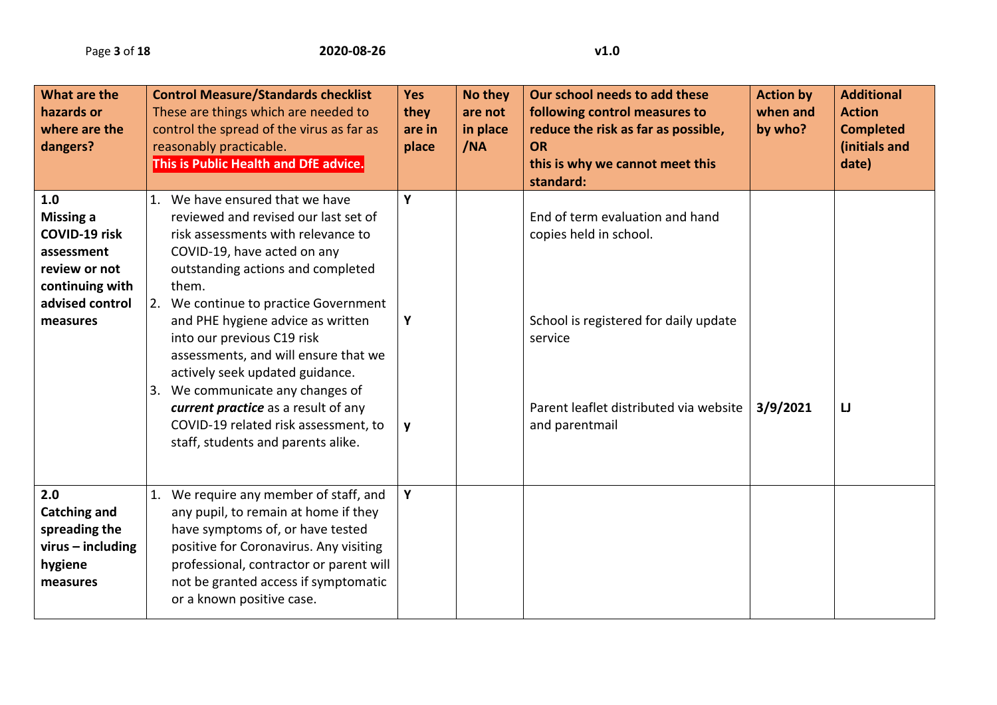| What are the<br>hazards or<br>where are the<br>dangers?                                                                   | <b>Control Measure/Standards checklist</b><br>These are things which are needed to<br>control the spread of the virus as far as<br>reasonably practicable.<br>This is Public Health and DfE advice.                                                                                                                                                                                                                                                                                                                                        | <b>Yes</b><br>they<br>are in<br>place | <b>No they</b><br>are not<br>in place<br>/NA | Our school needs to add these<br>following control measures to<br>reduce the risk as far as possible,<br><b>OR</b><br>this is why we cannot meet this<br>standard:        | <b>Action by</b><br>when and<br>by who? | <b>Additional</b><br><b>Action</b><br><b>Completed</b><br>(initials and<br>date) |
|---------------------------------------------------------------------------------------------------------------------------|--------------------------------------------------------------------------------------------------------------------------------------------------------------------------------------------------------------------------------------------------------------------------------------------------------------------------------------------------------------------------------------------------------------------------------------------------------------------------------------------------------------------------------------------|---------------------------------------|----------------------------------------------|---------------------------------------------------------------------------------------------------------------------------------------------------------------------------|-----------------------------------------|----------------------------------------------------------------------------------|
| 1.0<br><b>Missing a</b><br>COVID-19 risk<br>assessment<br>review or not<br>continuing with<br>advised control<br>measures | 1. We have ensured that we have<br>reviewed and revised our last set of<br>risk assessments with relevance to<br>COVID-19, have acted on any<br>outstanding actions and completed<br>them.<br>2. We continue to practice Government<br>and PHE hygiene advice as written<br>into our previous C19 risk<br>assessments, and will ensure that we<br>actively seek updated guidance.<br>3. We communicate any changes of<br>current practice as a result of any<br>COVID-19 related risk assessment, to<br>staff, students and parents alike. | Y<br>Y<br>y                           |                                              | End of term evaluation and hand<br>copies held in school.<br>School is registered for daily update<br>service<br>Parent leaflet distributed via website<br>and parentmail | 3/9/2021                                | $\mathsf{LJ}$                                                                    |
| 2.0<br><b>Catching and</b><br>spreading the<br>$virus - including$<br>hygiene<br>measures                                 | 1. We require any member of staff, and<br>any pupil, to remain at home if they<br>have symptoms of, or have tested<br>positive for Coronavirus. Any visiting<br>professional, contractor or parent will<br>not be granted access if symptomatic<br>or a known positive case.                                                                                                                                                                                                                                                               | Y                                     |                                              |                                                                                                                                                                           |                                         |                                                                                  |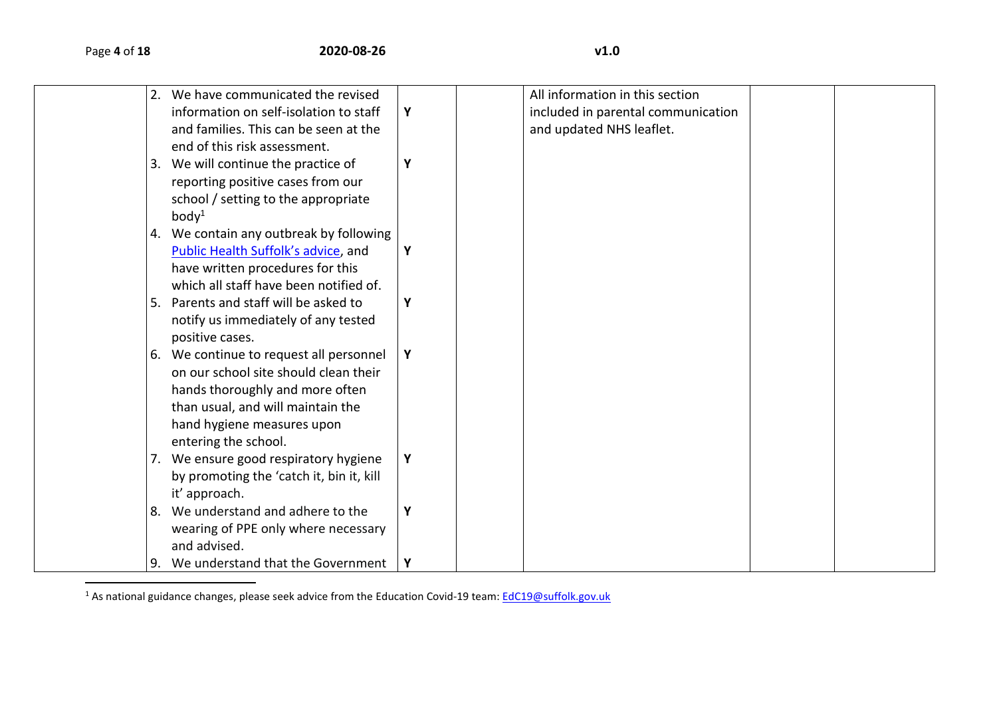$\overline{a}$ 

|  | 2. We have communicated the revised      |   | All information in this section    |  |
|--|------------------------------------------|---|------------------------------------|--|
|  | information on self-isolation to staff   | Y | included in parental communication |  |
|  | and families. This can be seen at the    |   | and updated NHS leaflet.           |  |
|  | end of this risk assessment.             |   |                                    |  |
|  | 3. We will continue the practice of      | Y |                                    |  |
|  | reporting positive cases from our        |   |                                    |  |
|  | school / setting to the appropriate      |   |                                    |  |
|  | body <sup>1</sup>                        |   |                                    |  |
|  | 4. We contain any outbreak by following  |   |                                    |  |
|  | Public Health Suffolk's advice, and      | Y |                                    |  |
|  | have written procedures for this         |   |                                    |  |
|  | which all staff have been notified of.   |   |                                    |  |
|  | 5. Parents and staff will be asked to    | Y |                                    |  |
|  | notify us immediately of any tested      |   |                                    |  |
|  | positive cases.                          |   |                                    |  |
|  | 6. We continue to request all personnel  | Y |                                    |  |
|  | on our school site should clean their    |   |                                    |  |
|  | hands thoroughly and more often          |   |                                    |  |
|  | than usual, and will maintain the        |   |                                    |  |
|  | hand hygiene measures upon               |   |                                    |  |
|  | entering the school.                     |   |                                    |  |
|  | 7. We ensure good respiratory hygiene    | Υ |                                    |  |
|  | by promoting the 'catch it, bin it, kill |   |                                    |  |
|  | it' approach.                            |   |                                    |  |
|  | 8. We understand and adhere to the       | Y |                                    |  |
|  | wearing of PPE only where necessary      |   |                                    |  |
|  | and advised.                             |   |                                    |  |
|  | 9. We understand that the Government     | Υ |                                    |  |

<sup>1</sup> As national guidance changes, please seek advice from the Education Covid-19 team: [EdC19@suffolk.gov.uk](mailto:EdC19@suffolk.gov.uk)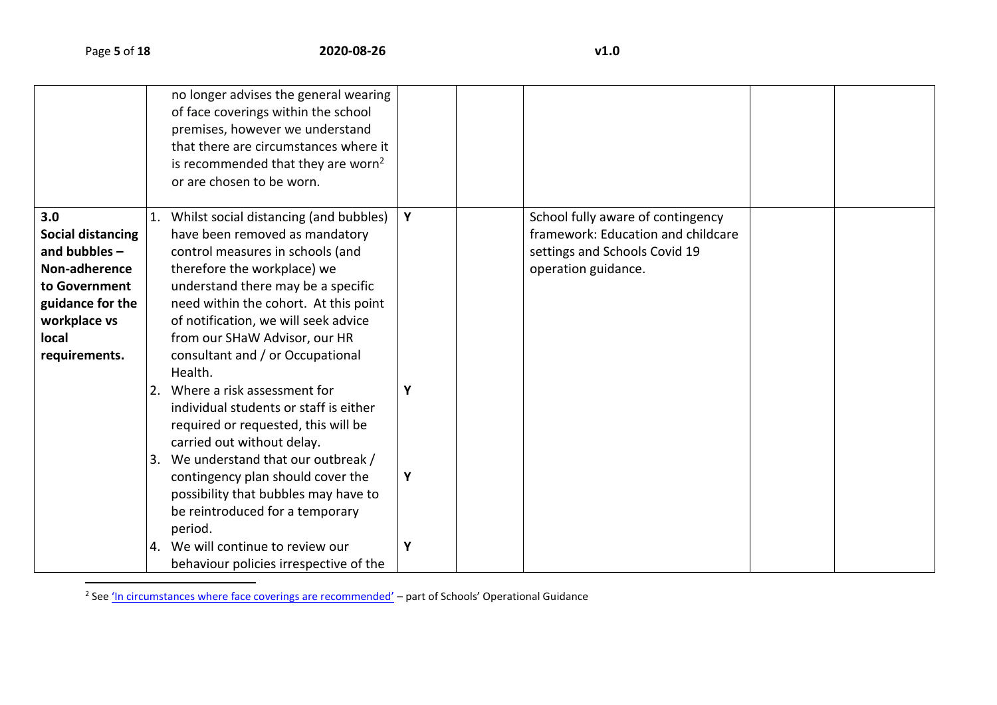|                                                                                                                                                           |          | no longer advises the general wearing<br>of face coverings within the school<br>premises, however we understand<br>that there are circumstances where it                                                                                                                                                                                           |        |                                                                                                                                 |  |
|-----------------------------------------------------------------------------------------------------------------------------------------------------------|----------|----------------------------------------------------------------------------------------------------------------------------------------------------------------------------------------------------------------------------------------------------------------------------------------------------------------------------------------------------|--------|---------------------------------------------------------------------------------------------------------------------------------|--|
|                                                                                                                                                           |          | is recommended that they are worn <sup>2</sup><br>or are chosen to be worn.                                                                                                                                                                                                                                                                        |        |                                                                                                                                 |  |
| 3.0<br><b>Social distancing</b><br>and bubbles $-$<br>Non-adherence<br>to Government<br>guidance for the<br>workplace vs<br><b>local</b><br>requirements. |          | Whilst social distancing (and bubbles)<br>have been removed as mandatory<br>control measures in schools (and<br>therefore the workplace) we<br>understand there may be a specific<br>need within the cohort. At this point<br>of notification, we will seek advice<br>from our SHaW Advisor, our HR<br>consultant and / or Occupational<br>Health. | Y      | School fully aware of contingency<br>framework: Education and childcare<br>settings and Schools Covid 19<br>operation guidance. |  |
|                                                                                                                                                           | 2.<br>3. | Where a risk assessment for<br>individual students or staff is either<br>required or requested, this will be<br>carried out without delay.<br>We understand that our outbreak /<br>contingency plan should cover the<br>possibility that bubbles may have to<br>be reintroduced for a temporary<br>period.                                         | Υ<br>Υ |                                                                                                                                 |  |
|                                                                                                                                                           | 4.       | We will continue to review our<br>behaviour policies irrespective of the                                                                                                                                                                                                                                                                           | Y      |                                                                                                                                 |  |

2 See ['In circumstances where face coverings are recommended'](https://www.gov.uk/government/publications/actions-for-schools-during-the-coronavirus-outbreak/schools-covid-19-operational-guidance#face-coverings) – part of Schools' Operational Guidance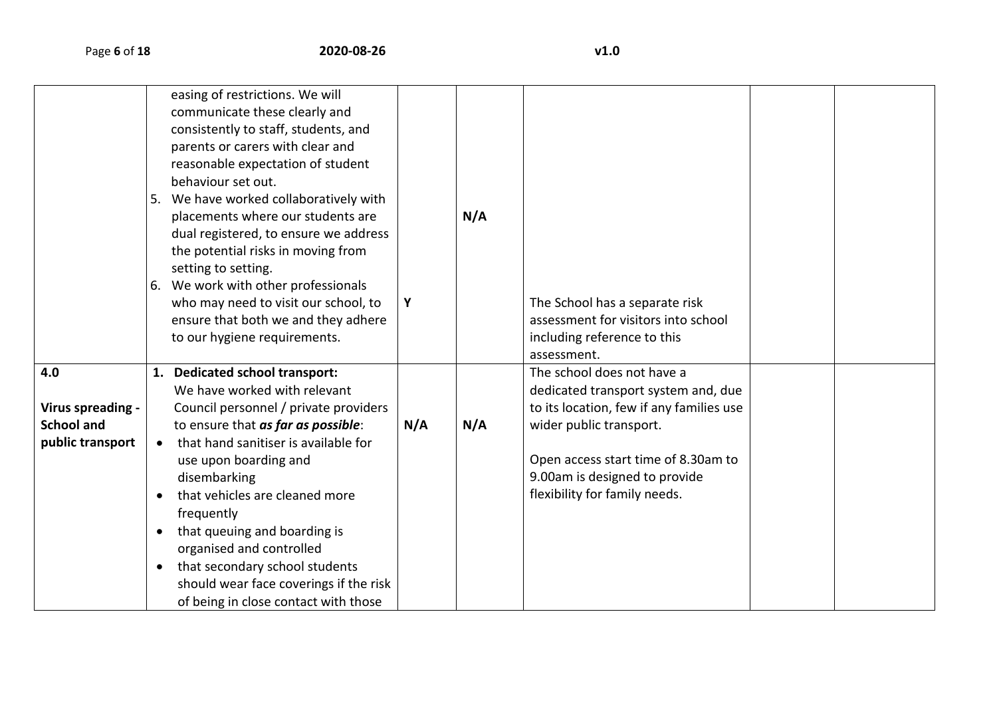|                   |           | easing of restrictions. We will<br>communicate these clearly and<br>consistently to staff, students, and<br>parents or carers with clear and<br>reasonable expectation of student<br>behaviour set out.<br>5. We have worked collaboratively with<br>placements where our students are<br>dual registered, to ensure we address<br>the potential risks in moving from<br>setting to setting.<br>6. We work with other professionals<br>who may need to visit our school, to<br>ensure that both we and they adhere<br>to our hygiene requirements. | Y   | N/A | The School has a separate risk<br>assessment for visitors into school<br>including reference to this<br>assessment. |  |
|-------------------|-----------|----------------------------------------------------------------------------------------------------------------------------------------------------------------------------------------------------------------------------------------------------------------------------------------------------------------------------------------------------------------------------------------------------------------------------------------------------------------------------------------------------------------------------------------------------|-----|-----|---------------------------------------------------------------------------------------------------------------------|--|
| 4.0               |           | 1. Dedicated school transport:                                                                                                                                                                                                                                                                                                                                                                                                                                                                                                                     |     |     | The school does not have a                                                                                          |  |
|                   |           | We have worked with relevant                                                                                                                                                                                                                                                                                                                                                                                                                                                                                                                       |     |     | dedicated transport system and, due                                                                                 |  |
| Virus spreading - |           | Council personnel / private providers                                                                                                                                                                                                                                                                                                                                                                                                                                                                                                              |     |     | to its location, few if any families use                                                                            |  |
| <b>School and</b> |           | to ensure that as far as possible:                                                                                                                                                                                                                                                                                                                                                                                                                                                                                                                 | N/A | N/A | wider public transport.                                                                                             |  |
| public transport  | $\bullet$ | that hand sanitiser is available for                                                                                                                                                                                                                                                                                                                                                                                                                                                                                                               |     |     |                                                                                                                     |  |
|                   |           | use upon boarding and                                                                                                                                                                                                                                                                                                                                                                                                                                                                                                                              |     |     | Open access start time of 8.30am to                                                                                 |  |
|                   |           | disembarking                                                                                                                                                                                                                                                                                                                                                                                                                                                                                                                                       |     |     | 9.00am is designed to provide                                                                                       |  |
|                   | $\bullet$ | that vehicles are cleaned more                                                                                                                                                                                                                                                                                                                                                                                                                                                                                                                     |     |     | flexibility for family needs.                                                                                       |  |
|                   |           | frequently                                                                                                                                                                                                                                                                                                                                                                                                                                                                                                                                         |     |     |                                                                                                                     |  |
|                   | $\bullet$ | that queuing and boarding is                                                                                                                                                                                                                                                                                                                                                                                                                                                                                                                       |     |     |                                                                                                                     |  |
|                   |           | organised and controlled                                                                                                                                                                                                                                                                                                                                                                                                                                                                                                                           |     |     |                                                                                                                     |  |
|                   | $\bullet$ | that secondary school students                                                                                                                                                                                                                                                                                                                                                                                                                                                                                                                     |     |     |                                                                                                                     |  |
|                   |           | should wear face coverings if the risk                                                                                                                                                                                                                                                                                                                                                                                                                                                                                                             |     |     |                                                                                                                     |  |
|                   |           | of being in close contact with those                                                                                                                                                                                                                                                                                                                                                                                                                                                                                                               |     |     |                                                                                                                     |  |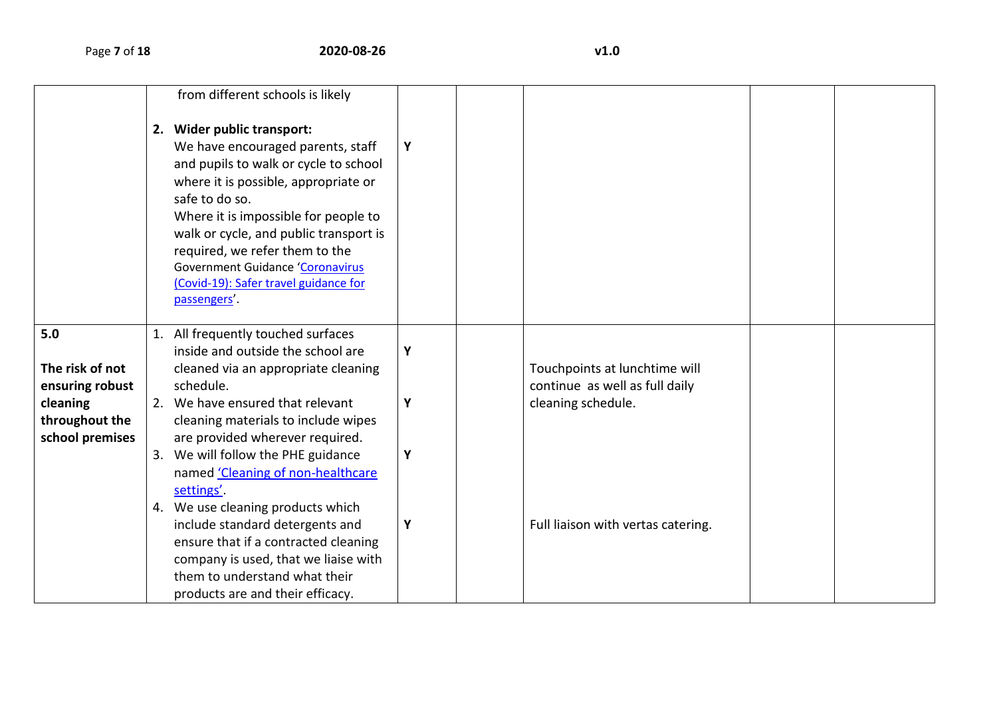|                                                                                            | from different schools is likely<br>2. Wider public transport:<br>We have encouraged parents, staff<br>and pupils to walk or cycle to school<br>where it is possible, appropriate or<br>safe to do so.<br>Where it is impossible for people to<br>walk or cycle, and public transport is<br>required, we refer them to the<br><b>Government Guidance 'Coronavirus</b><br>(Covid-19): Safer travel guidance for<br>passengers'.                                                                                           | Υ                |                                                                                                                             |  |
|--------------------------------------------------------------------------------------------|--------------------------------------------------------------------------------------------------------------------------------------------------------------------------------------------------------------------------------------------------------------------------------------------------------------------------------------------------------------------------------------------------------------------------------------------------------------------------------------------------------------------------|------------------|-----------------------------------------------------------------------------------------------------------------------------|--|
| 5.0<br>The risk of not<br>ensuring robust<br>cleaning<br>throughout the<br>school premises | All frequently touched surfaces<br>inside and outside the school are<br>cleaned via an appropriate cleaning<br>schedule.<br>2. We have ensured that relevant<br>cleaning materials to include wipes<br>are provided wherever required.<br>3. We will follow the PHE guidance<br>named 'Cleaning of non-healthcare<br>settings'.<br>4. We use cleaning products which<br>include standard detergents and<br>ensure that if a contracted cleaning<br>company is used, that we liaise with<br>them to understand what their | Υ<br>Υ<br>Υ<br>Υ | Touchpoints at lunchtime will<br>continue as well as full daily<br>cleaning schedule.<br>Full liaison with vertas catering. |  |
|                                                                                            | products are and their efficacy.                                                                                                                                                                                                                                                                                                                                                                                                                                                                                         |                  |                                                                                                                             |  |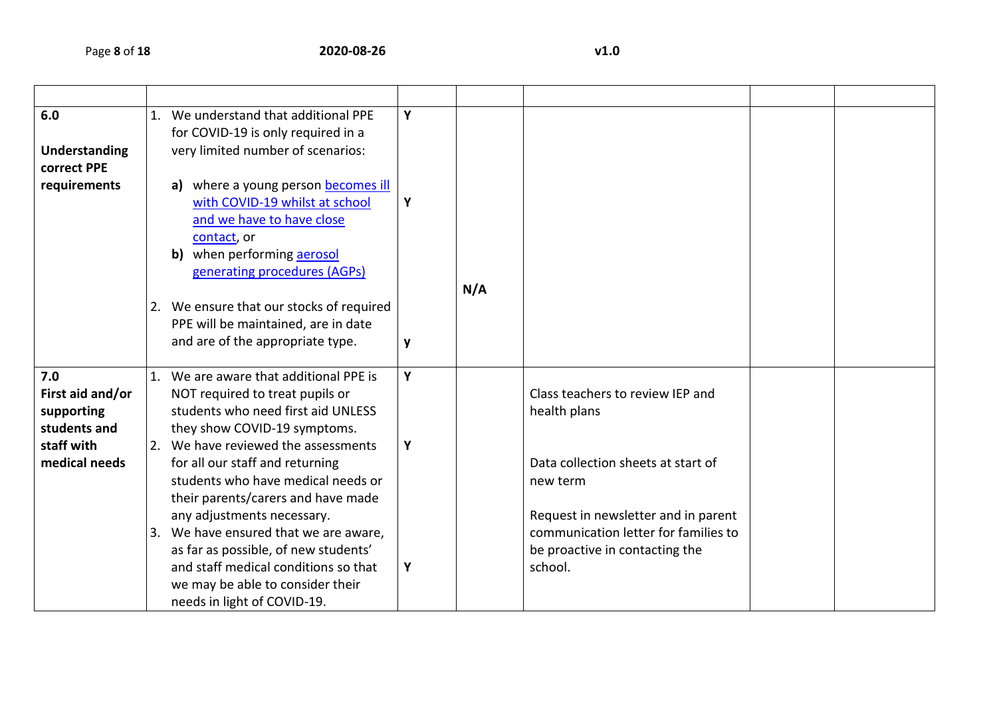|                                        | Y                                                                                                                                                                                                                                                                                                                                                                                                                                                                                                                                                                                                                                                                                              |             |                                                                                                                                                                                                                                |  |
|----------------------------------------|------------------------------------------------------------------------------------------------------------------------------------------------------------------------------------------------------------------------------------------------------------------------------------------------------------------------------------------------------------------------------------------------------------------------------------------------------------------------------------------------------------------------------------------------------------------------------------------------------------------------------------------------------------------------------------------------|-------------|--------------------------------------------------------------------------------------------------------------------------------------------------------------------------------------------------------------------------------|--|
| for COVID-19 is only required in a     |                                                                                                                                                                                                                                                                                                                                                                                                                                                                                                                                                                                                                                                                                                |             |                                                                                                                                                                                                                                |  |
| very limited number of scenarios:      |                                                                                                                                                                                                                                                                                                                                                                                                                                                                                                                                                                                                                                                                                                |             |                                                                                                                                                                                                                                |  |
|                                        |                                                                                                                                                                                                                                                                                                                                                                                                                                                                                                                                                                                                                                                                                                |             |                                                                                                                                                                                                                                |  |
| where a young person becomes ill<br>a) |                                                                                                                                                                                                                                                                                                                                                                                                                                                                                                                                                                                                                                                                                                |             |                                                                                                                                                                                                                                |  |
| with COVID-19 whilst at school         | Υ                                                                                                                                                                                                                                                                                                                                                                                                                                                                                                                                                                                                                                                                                              |             |                                                                                                                                                                                                                                |  |
| and we have to have close              |                                                                                                                                                                                                                                                                                                                                                                                                                                                                                                                                                                                                                                                                                                |             |                                                                                                                                                                                                                                |  |
| contact, or                            |                                                                                                                                                                                                                                                                                                                                                                                                                                                                                                                                                                                                                                                                                                |             |                                                                                                                                                                                                                                |  |
| b) when performing aerosol             |                                                                                                                                                                                                                                                                                                                                                                                                                                                                                                                                                                                                                                                                                                |             |                                                                                                                                                                                                                                |  |
| generating procedures (AGPs)           |                                                                                                                                                                                                                                                                                                                                                                                                                                                                                                                                                                                                                                                                                                |             |                                                                                                                                                                                                                                |  |
|                                        |                                                                                                                                                                                                                                                                                                                                                                                                                                                                                                                                                                                                                                                                                                | N/A         |                                                                                                                                                                                                                                |  |
|                                        |                                                                                                                                                                                                                                                                                                                                                                                                                                                                                                                                                                                                                                                                                                |             |                                                                                                                                                                                                                                |  |
|                                        |                                                                                                                                                                                                                                                                                                                                                                                                                                                                                                                                                                                                                                                                                                |             |                                                                                                                                                                                                                                |  |
|                                        | y                                                                                                                                                                                                                                                                                                                                                                                                                                                                                                                                                                                                                                                                                              |             |                                                                                                                                                                                                                                |  |
|                                        |                                                                                                                                                                                                                                                                                                                                                                                                                                                                                                                                                                                                                                                                                                |             |                                                                                                                                                                                                                                |  |
|                                        |                                                                                                                                                                                                                                                                                                                                                                                                                                                                                                                                                                                                                                                                                                |             |                                                                                                                                                                                                                                |  |
|                                        |                                                                                                                                                                                                                                                                                                                                                                                                                                                                                                                                                                                                                                                                                                |             |                                                                                                                                                                                                                                |  |
|                                        |                                                                                                                                                                                                                                                                                                                                                                                                                                                                                                                                                                                                                                                                                                |             |                                                                                                                                                                                                                                |  |
|                                        |                                                                                                                                                                                                                                                                                                                                                                                                                                                                                                                                                                                                                                                                                                |             |                                                                                                                                                                                                                                |  |
|                                        |                                                                                                                                                                                                                                                                                                                                                                                                                                                                                                                                                                                                                                                                                                |             |                                                                                                                                                                                                                                |  |
|                                        |                                                                                                                                                                                                                                                                                                                                                                                                                                                                                                                                                                                                                                                                                                |             |                                                                                                                                                                                                                                |  |
|                                        |                                                                                                                                                                                                                                                                                                                                                                                                                                                                                                                                                                                                                                                                                                |             |                                                                                                                                                                                                                                |  |
|                                        |                                                                                                                                                                                                                                                                                                                                                                                                                                                                                                                                                                                                                                                                                                |             |                                                                                                                                                                                                                                |  |
|                                        |                                                                                                                                                                                                                                                                                                                                                                                                                                                                                                                                                                                                                                                                                                |             |                                                                                                                                                                                                                                |  |
|                                        |                                                                                                                                                                                                                                                                                                                                                                                                                                                                                                                                                                                                                                                                                                |             |                                                                                                                                                                                                                                |  |
|                                        |                                                                                                                                                                                                                                                                                                                                                                                                                                                                                                                                                                                                                                                                                                |             |                                                                                                                                                                                                                                |  |
|                                        |                                                                                                                                                                                                                                                                                                                                                                                                                                                                                                                                                                                                                                                                                                |             |                                                                                                                                                                                                                                |  |
|                                        |                                                                                                                                                                                                                                                                                                                                                                                                                                                                                                                                                                                                                                                                                                |             |                                                                                                                                                                                                                                |  |
|                                        | 1. We understand that additional PPE<br>2. We ensure that our stocks of required<br>PPE will be maintained, are in date<br>and are of the appropriate type.<br>1. We are aware that additional PPE is<br>NOT required to treat pupils or<br>students who need first aid UNLESS<br>they show COVID-19 symptoms.<br>2. We have reviewed the assessments<br>for all our staff and returning<br>students who have medical needs or<br>their parents/carers and have made<br>any adjustments necessary.<br>3. We have ensured that we are aware,<br>as far as possible, of new students'<br>and staff medical conditions so that<br>we may be able to consider their<br>needs in light of COVID-19. | Y<br>Υ<br>Υ | Class teachers to review IEP and<br>health plans<br>Data collection sheets at start of<br>new term<br>Request in newsletter and in parent<br>communication letter for families to<br>be proactive in contacting the<br>school. |  |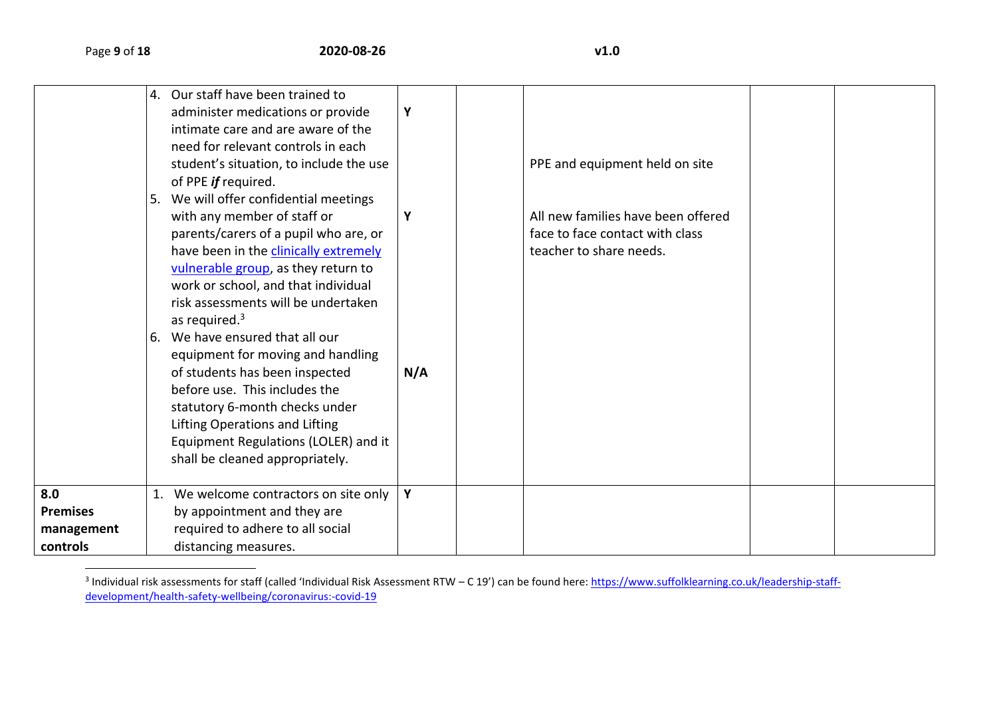$\overline{\phantom{a}}$ 

|                               | 4. Our staff have been trained to<br>administer medications or provide<br>intimate care and are aware of the | Y   |                                    |  |
|-------------------------------|--------------------------------------------------------------------------------------------------------------|-----|------------------------------------|--|
|                               | need for relevant controls in each<br>student's situation, to include the use<br>of PPE if required.         |     | PPE and equipment held on site     |  |
|                               | 5. We will offer confidential meetings                                                                       | Y   | All new families have been offered |  |
|                               | with any member of staff or<br>parents/carers of a pupil who are, or                                         |     | face to face contact with class    |  |
|                               | have been in the clinically extremely<br>vulnerable group, as they return to                                 |     | teacher to share needs.            |  |
|                               | work or school, and that individual                                                                          |     |                                    |  |
|                               | risk assessments will be undertaken<br>as required. $3$                                                      |     |                                    |  |
|                               | 6. We have ensured that all our                                                                              |     |                                    |  |
|                               | equipment for moving and handling<br>of students has been inspected                                          | N/A |                                    |  |
|                               | before use. This includes the<br>statutory 6-month checks under                                              |     |                                    |  |
|                               | Lifting Operations and Lifting                                                                               |     |                                    |  |
|                               | Equipment Regulations (LOLER) and it<br>shall be cleaned appropriately.                                      |     |                                    |  |
| 8.0                           | 1. We welcome contractors on site only                                                                       | Y   |                                    |  |
| <b>Premises</b><br>management | by appointment and they are<br>required to adhere to all social                                              |     |                                    |  |
| controls                      | distancing measures.                                                                                         |     |                                    |  |

<sup>&</sup>lt;sup>3</sup> Individual risk assessments for staff (called 'Individual Risk Assessment RTW – C 19') can be found here: <u>https://www.suffolklearning.co.uk/leadership-staff-</u> [development/health-safety-wellbeing/coronavirus:-covid-19](https://www.suffolklearning.co.uk/leadership-staff-development/health-safety-wellbeing/coronavirus:-covid-19)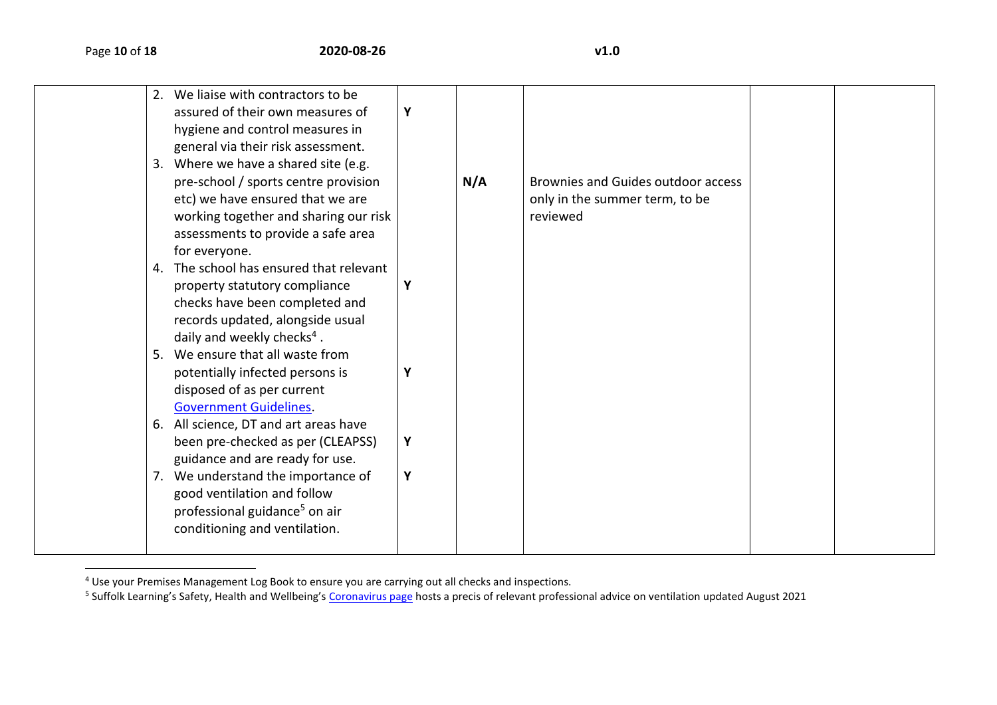$\overline{\phantom{a}}$ 

| 2. | We liaise with contractors to be<br>assured of their own measures of<br>hygiene and control measures in<br>general via their risk assessment.<br>3. Where we have a shared site (e.g.<br>pre-school / sports centre provision<br>etc) we have ensured that we are | Y      | N/A | Brownies and Guides outdoor access<br>only in the summer term, to be |  |
|----|-------------------------------------------------------------------------------------------------------------------------------------------------------------------------------------------------------------------------------------------------------------------|--------|-----|----------------------------------------------------------------------|--|
|    | working together and sharing our risk<br>assessments to provide a safe area<br>for everyone.<br>4. The school has ensured that relevant<br>property statutory compliance<br>checks have been completed and<br>records updated, alongside usual                    | Υ      |     | reviewed                                                             |  |
|    | daily and weekly checks <sup>4</sup> .<br>5. We ensure that all waste from<br>potentially infected persons is<br>disposed of as per current<br><b>Government Guidelines</b><br>6. All science, DT and art areas have<br>been pre-checked as per (CLEAPSS)         | Υ<br>Υ |     |                                                                      |  |
|    | guidance and are ready for use.<br>7. We understand the importance of<br>good ventilation and follow<br>professional guidance <sup>5</sup> on air<br>conditioning and ventilation.                                                                                | Υ      |     |                                                                      |  |

<sup>&</sup>lt;sup>4</sup> Use your Premises Management Log Book to ensure you are carrying out all checks and inspections.<br><sup>5</sup> Suffolk Learning's Safety, Health and Wellbeing's <u>[Coronavirus page](https://www.suffolklearning.co.uk/leadership-staff-development/health-safety-wellbeing/coronavirus:-covid-19)</u> hosts a precis of relevant professional advice o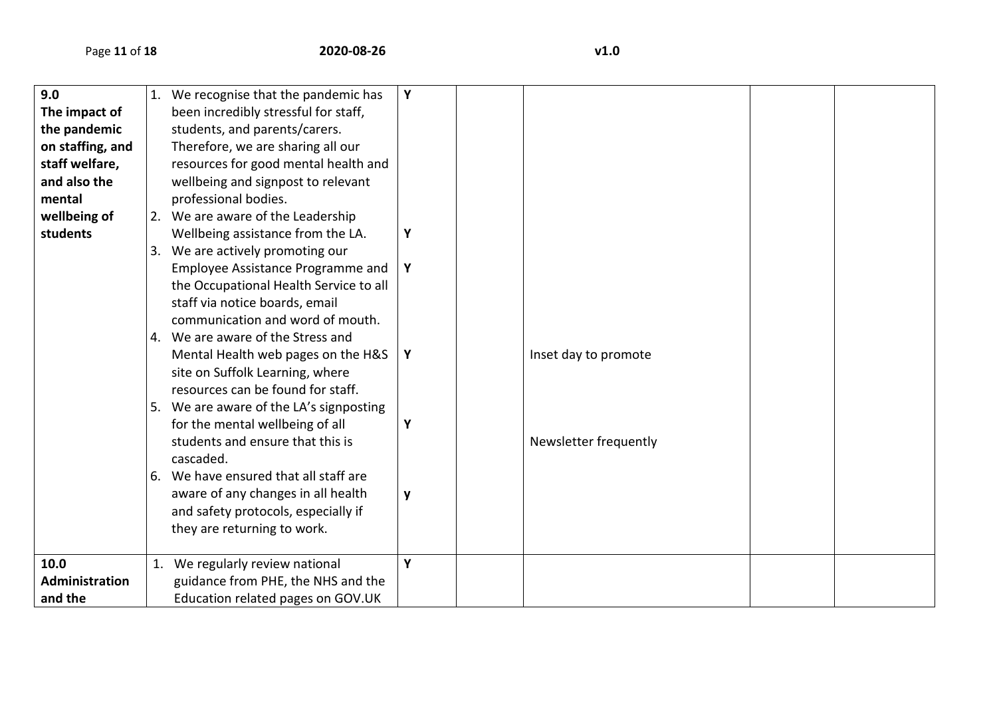| 9.0              | 1. We recognise that the pandemic has   | Y |                       |  |
|------------------|-----------------------------------------|---|-----------------------|--|
| The impact of    | been incredibly stressful for staff,    |   |                       |  |
| the pandemic     | students, and parents/carers.           |   |                       |  |
| on staffing, and | Therefore, we are sharing all our       |   |                       |  |
| staff welfare,   | resources for good mental health and    |   |                       |  |
| and also the     | wellbeing and signpost to relevant      |   |                       |  |
| mental           | professional bodies.                    |   |                       |  |
| wellbeing of     | 2. We are aware of the Leadership       |   |                       |  |
| students         | Wellbeing assistance from the LA.       | Y |                       |  |
|                  | 3. We are actively promoting our        |   |                       |  |
|                  | Employee Assistance Programme and       | Y |                       |  |
|                  | the Occupational Health Service to all  |   |                       |  |
|                  | staff via notice boards, email          |   |                       |  |
|                  | communication and word of mouth.        |   |                       |  |
|                  | 4. We are aware of the Stress and       |   |                       |  |
|                  | Mental Health web pages on the H&S      | Y | Inset day to promote  |  |
|                  | site on Suffolk Learning, where         |   |                       |  |
|                  | resources can be found for staff.       |   |                       |  |
|                  | 5. We are aware of the LA's signposting |   |                       |  |
|                  | for the mental wellbeing of all         | Y |                       |  |
|                  | students and ensure that this is        |   | Newsletter frequently |  |
|                  | cascaded.                               |   |                       |  |
|                  | 6. We have ensured that all staff are   |   |                       |  |
|                  | aware of any changes in all health      | y |                       |  |
|                  | and safety protocols, especially if     |   |                       |  |
|                  | they are returning to work.             |   |                       |  |
|                  |                                         |   |                       |  |
| 10.0             | 1. We regularly review national         | Y |                       |  |
| Administration   | guidance from PHE, the NHS and the      |   |                       |  |
| and the          | Education related pages on GOV.UK       |   |                       |  |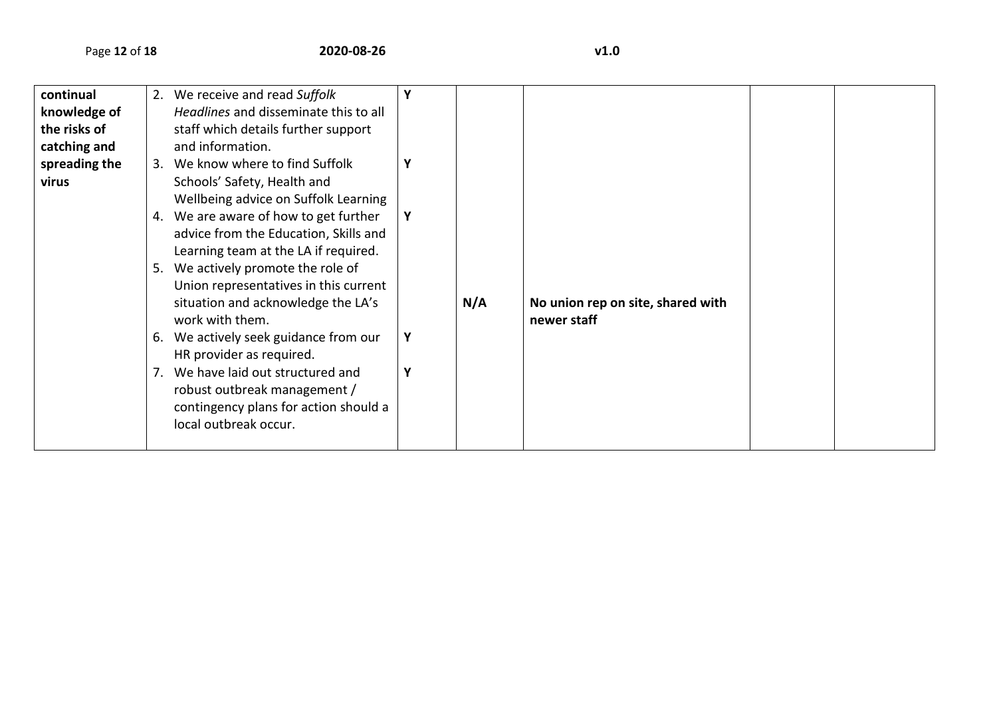| continual     |    | 2. We receive and read Suffolk        |   |     |                                   |  |
|---------------|----|---------------------------------------|---|-----|-----------------------------------|--|
| knowledge of  |    | Headlines and disseminate this to all |   |     |                                   |  |
| the risks of  |    | staff which details further support   |   |     |                                   |  |
| catching and  |    | and information.                      |   |     |                                   |  |
| spreading the |    | 3. We know where to find Suffolk      | Y |     |                                   |  |
| virus         |    | Schools' Safety, Health and           |   |     |                                   |  |
|               |    | Wellbeing advice on Suffolk Learning  |   |     |                                   |  |
|               | 4. | We are aware of how to get further    | Y |     |                                   |  |
|               |    | advice from the Education, Skills and |   |     |                                   |  |
|               |    | Learning team at the LA if required.  |   |     |                                   |  |
|               |    | 5. We actively promote the role of    |   |     |                                   |  |
|               |    | Union representatives in this current |   |     |                                   |  |
|               |    | situation and acknowledge the LA's    |   | N/A | No union rep on site, shared with |  |
|               |    | work with them.                       |   |     | newer staff                       |  |
|               | 6. | We actively seek guidance from our    | Y |     |                                   |  |
|               |    | HR provider as required.              |   |     |                                   |  |
|               |    | 7. We have laid out structured and    | Y |     |                                   |  |
|               |    | robust outbreak management /          |   |     |                                   |  |
|               |    | contingency plans for action should a |   |     |                                   |  |
|               |    | local outbreak occur.                 |   |     |                                   |  |
|               |    |                                       |   |     |                                   |  |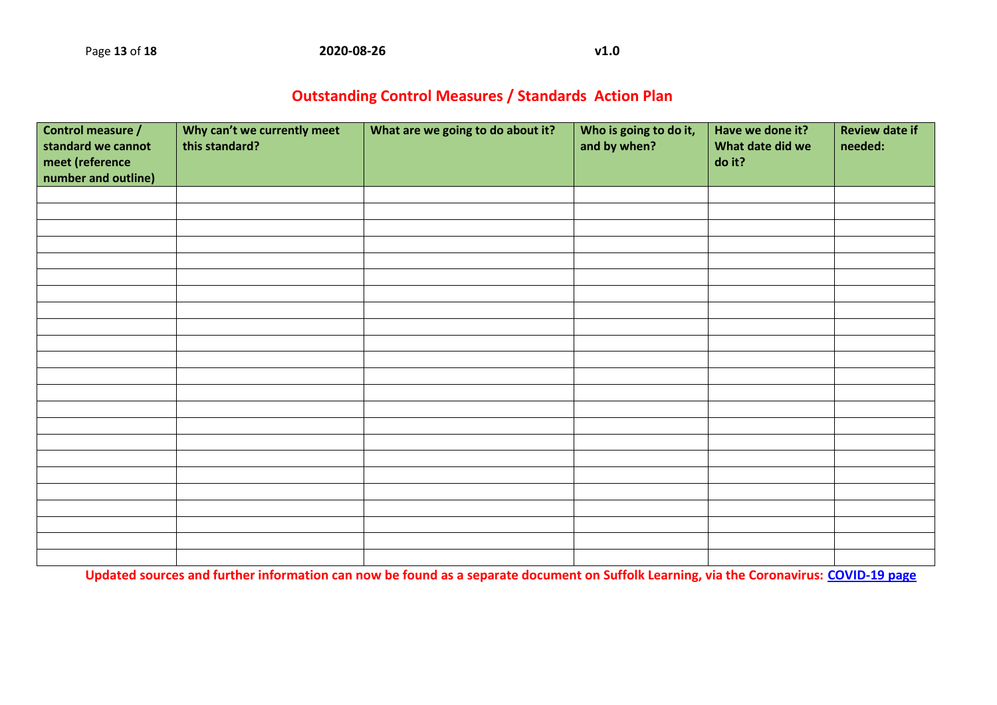## **Outstanding Control Measures / Standards Action Plan**

| Control measure /<br>standard we cannot<br>meet (reference<br>number and outline) | Why can't we currently meet<br>this standard? | What are we going to do about it? | Who is going to do it,<br>and by when? | Have we done it?<br>What date did we<br>do it? | <b>Review date if</b><br>needed: |
|-----------------------------------------------------------------------------------|-----------------------------------------------|-----------------------------------|----------------------------------------|------------------------------------------------|----------------------------------|
|                                                                                   |                                               |                                   |                                        |                                                |                                  |
|                                                                                   |                                               |                                   |                                        |                                                |                                  |
|                                                                                   |                                               |                                   |                                        |                                                |                                  |
|                                                                                   |                                               |                                   |                                        |                                                |                                  |
|                                                                                   |                                               |                                   |                                        |                                                |                                  |
|                                                                                   |                                               |                                   |                                        |                                                |                                  |
|                                                                                   |                                               |                                   |                                        |                                                |                                  |
|                                                                                   |                                               |                                   |                                        |                                                |                                  |
|                                                                                   |                                               |                                   |                                        |                                                |                                  |
|                                                                                   |                                               |                                   |                                        |                                                |                                  |
|                                                                                   |                                               |                                   |                                        |                                                |                                  |
|                                                                                   |                                               |                                   |                                        |                                                |                                  |
|                                                                                   |                                               |                                   |                                        |                                                |                                  |
|                                                                                   |                                               |                                   |                                        |                                                |                                  |
|                                                                                   |                                               |                                   |                                        |                                                |                                  |
|                                                                                   |                                               |                                   |                                        |                                                |                                  |
|                                                                                   |                                               |                                   |                                        |                                                |                                  |
|                                                                                   |                                               |                                   |                                        |                                                |                                  |
|                                                                                   |                                               |                                   |                                        |                                                |                                  |
|                                                                                   |                                               |                                   |                                        |                                                |                                  |
|                                                                                   |                                               |                                   |                                        |                                                |                                  |
|                                                                                   |                                               |                                   |                                        |                                                |                                  |
|                                                                                   |                                               |                                   |                                        |                                                |                                  |

**Updated sources and further information can now be found as a separate document on Suffolk Learning, via the Coronavirus: [COVID-19 page](https://www.suffolklearning.co.uk/leadership-staff-development/health-safety-wellbeing/coronavirus:-covid-19)**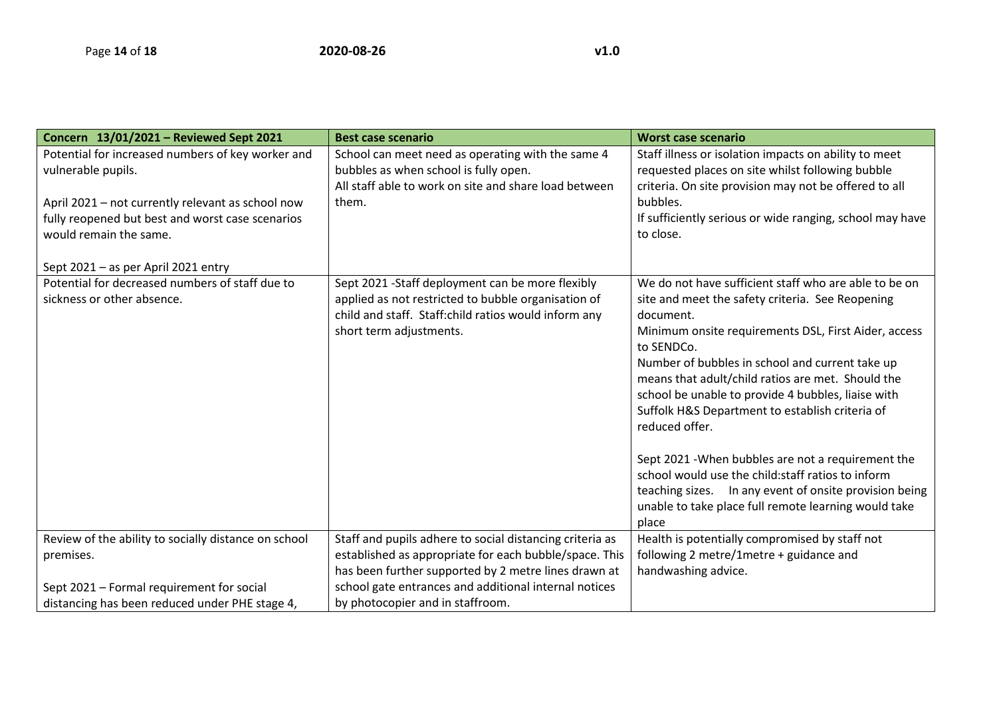| Concern 13/01/2021 - Reviewed Sept 2021                                                                                         | <b>Best case scenario</b>                                                                                                                                                                   | <b>Worst case scenario</b>                                                                                                                                                                                                                                                                                                                                                                                                                                                                                                                                                                                                                                              |
|---------------------------------------------------------------------------------------------------------------------------------|---------------------------------------------------------------------------------------------------------------------------------------------------------------------------------------------|-------------------------------------------------------------------------------------------------------------------------------------------------------------------------------------------------------------------------------------------------------------------------------------------------------------------------------------------------------------------------------------------------------------------------------------------------------------------------------------------------------------------------------------------------------------------------------------------------------------------------------------------------------------------------|
| Potential for increased numbers of key worker and<br>vulnerable pupils.                                                         | School can meet need as operating with the same 4<br>bubbles as when school is fully open.                                                                                                  | Staff illness or isolation impacts on ability to meet<br>requested places on site whilst following bubble                                                                                                                                                                                                                                                                                                                                                                                                                                                                                                                                                               |
| April 2021 - not currently relevant as school now<br>fully reopened but best and worst case scenarios<br>would remain the same. | All staff able to work on site and share load between<br>them.                                                                                                                              | criteria. On site provision may not be offered to all<br>bubbles.<br>If sufficiently serious or wide ranging, school may have<br>to close.                                                                                                                                                                                                                                                                                                                                                                                                                                                                                                                              |
| Sept 2021 - as per April 2021 entry                                                                                             |                                                                                                                                                                                             |                                                                                                                                                                                                                                                                                                                                                                                                                                                                                                                                                                                                                                                                         |
| Potential for decreased numbers of staff due to<br>sickness or other absence.                                                   | Sept 2021 - Staff deployment can be more flexibly<br>applied as not restricted to bubble organisation of<br>child and staff. Staff:child ratios would inform any<br>short term adjustments. | We do not have sufficient staff who are able to be on<br>site and meet the safety criteria. See Reopening<br>document.<br>Minimum onsite requirements DSL, First Aider, access<br>to SENDCo.<br>Number of bubbles in school and current take up<br>means that adult/child ratios are met. Should the<br>school be unable to provide 4 bubbles, liaise with<br>Suffolk H&S Department to establish criteria of<br>reduced offer.<br>Sept 2021 - When bubbles are not a requirement the<br>school would use the child: staff ratios to inform<br>teaching sizes.  In any event of onsite provision being<br>unable to take place full remote learning would take<br>place |
| Review of the ability to socially distance on school                                                                            | Staff and pupils adhere to social distancing criteria as                                                                                                                                    | Health is potentially compromised by staff not                                                                                                                                                                                                                                                                                                                                                                                                                                                                                                                                                                                                                          |
| premises.                                                                                                                       | established as appropriate for each bubble/space. This                                                                                                                                      | following 2 metre/1metre + guidance and                                                                                                                                                                                                                                                                                                                                                                                                                                                                                                                                                                                                                                 |
|                                                                                                                                 | has been further supported by 2 metre lines drawn at                                                                                                                                        | handwashing advice.                                                                                                                                                                                                                                                                                                                                                                                                                                                                                                                                                                                                                                                     |
| Sept 2021 - Formal requirement for social                                                                                       | school gate entrances and additional internal notices                                                                                                                                       |                                                                                                                                                                                                                                                                                                                                                                                                                                                                                                                                                                                                                                                                         |
| distancing has been reduced under PHE stage 4,                                                                                  | by photocopier and in staffroom.                                                                                                                                                            |                                                                                                                                                                                                                                                                                                                                                                                                                                                                                                                                                                                                                                                                         |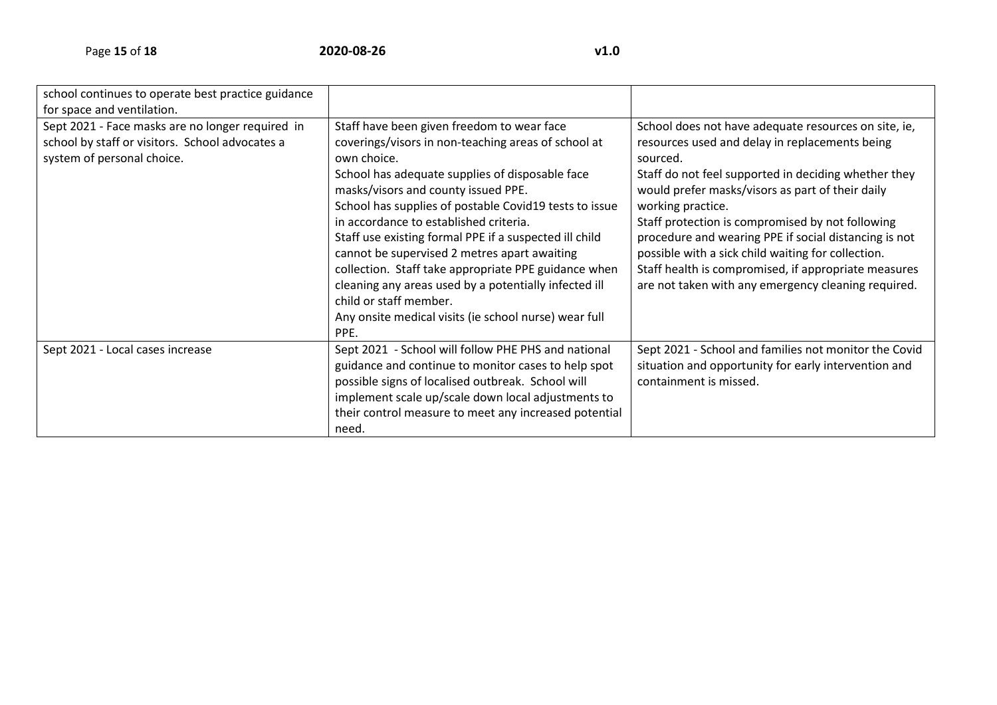| school continues to operate best practice guidance<br>for space and ventilation.                                                  |                                                                                                                                                                                                                                                                                                                                                                                                                                                                                                                                                                                                                                      |                                                                                                                                                                                                                                                                                                                                                                                                                                                                                                                                       |
|-----------------------------------------------------------------------------------------------------------------------------------|--------------------------------------------------------------------------------------------------------------------------------------------------------------------------------------------------------------------------------------------------------------------------------------------------------------------------------------------------------------------------------------------------------------------------------------------------------------------------------------------------------------------------------------------------------------------------------------------------------------------------------------|---------------------------------------------------------------------------------------------------------------------------------------------------------------------------------------------------------------------------------------------------------------------------------------------------------------------------------------------------------------------------------------------------------------------------------------------------------------------------------------------------------------------------------------|
| Sept 2021 - Face masks are no longer required in<br>school by staff or visitors. School advocates a<br>system of personal choice. | Staff have been given freedom to wear face<br>coverings/visors in non-teaching areas of school at<br>own choice.<br>School has adequate supplies of disposable face<br>masks/visors and county issued PPE.<br>School has supplies of postable Covid19 tests to issue<br>in accordance to established criteria.<br>Staff use existing formal PPE if a suspected ill child<br>cannot be supervised 2 metres apart awaiting<br>collection. Staff take appropriate PPE guidance when<br>cleaning any areas used by a potentially infected ill<br>child or staff member.<br>Any onsite medical visits (ie school nurse) wear full<br>PPE. | School does not have adequate resources on site, ie,<br>resources used and delay in replacements being<br>sourced.<br>Staff do not feel supported in deciding whether they<br>would prefer masks/visors as part of their daily<br>working practice.<br>Staff protection is compromised by not following<br>procedure and wearing PPE if social distancing is not<br>possible with a sick child waiting for collection.<br>Staff health is compromised, if appropriate measures<br>are not taken with any emergency cleaning required. |
| Sept 2021 - Local cases increase                                                                                                  | Sept 2021 - School will follow PHE PHS and national<br>guidance and continue to monitor cases to help spot<br>possible signs of localised outbreak. School will<br>implement scale up/scale down local adjustments to<br>their control measure to meet any increased potential<br>need.                                                                                                                                                                                                                                                                                                                                              | Sept 2021 - School and families not monitor the Covid<br>situation and opportunity for early intervention and<br>containment is missed.                                                                                                                                                                                                                                                                                                                                                                                               |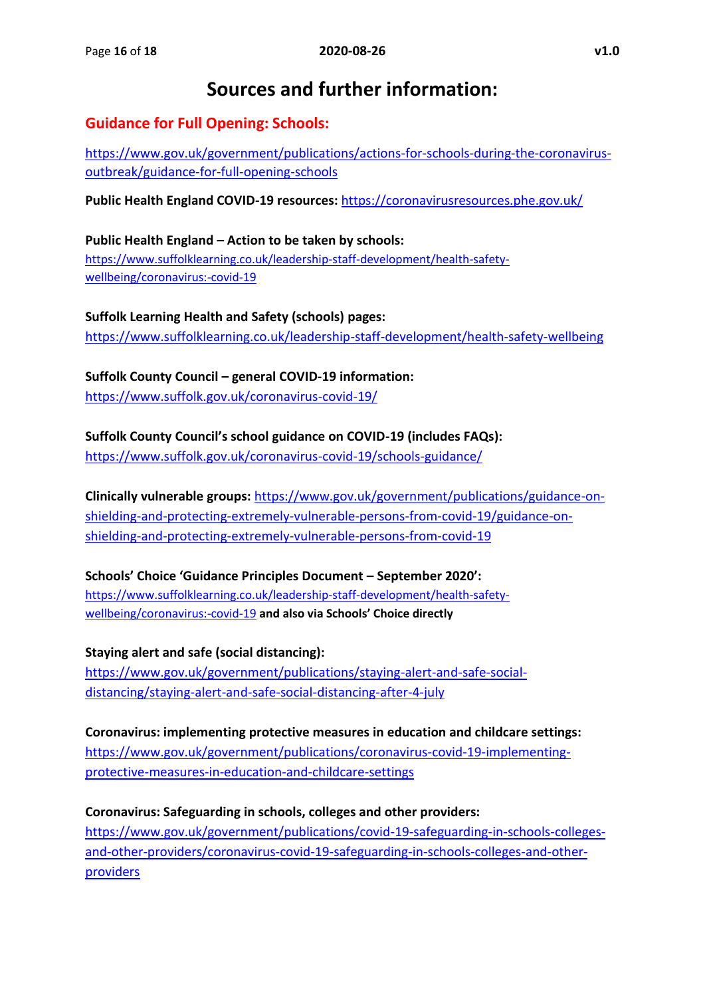# **Sources and further information:**

### **Guidance for Full Opening: Schools:**

[https://www.gov.uk/government/publications/actions-for-schools-during-the-coronavirus](https://www.gov.uk/government/publications/actions-for-schools-during-the-coronavirus-outbreak/guidance-for-full-opening-schools)[outbreak/guidance-for-full-opening-schools](https://www.gov.uk/government/publications/actions-for-schools-during-the-coronavirus-outbreak/guidance-for-full-opening-schools)

**Public Health England COVID-19 resources:** <https://coronavirusresources.phe.gov.uk/>

**Public Health England – Action to be taken by schools:**  [https://www.suffolklearning.co.uk/leadership-staff-development/health-safety](https://www.suffolklearning.co.uk/leadership-staff-development/health-safety-wellbeing/coronavirus:-covid-19)[wellbeing/coronavirus:-covid-19](https://www.suffolklearning.co.uk/leadership-staff-development/health-safety-wellbeing/coronavirus:-covid-19)

**Suffolk Learning Health and Safety (schools) pages:** <https://www.suffolklearning.co.uk/leadership-staff-development/health-safety-wellbeing>

**Suffolk County Council – general COVID-19 information:** <https://www.suffolk.gov.uk/coronavirus-covid-19/>

**Suffolk County Council's school guidance on COVID-19 (includes FAQs):**

<https://www.suffolk.gov.uk/coronavirus-covid-19/schools-guidance/>

**Clinically vulnerable groups:** [https://www.gov.uk/government/publications/guidance-on](https://www.gov.uk/government/publications/guidance-on-shielding-and-protecting-extremely-vulnerable-persons-from-covid-19/guidance-on-shielding-and-protecting-extremely-vulnerable-persons-from-covid-19)[shielding-and-protecting-extremely-vulnerable-persons-from-covid-19/guidance-on](https://www.gov.uk/government/publications/guidance-on-shielding-and-protecting-extremely-vulnerable-persons-from-covid-19/guidance-on-shielding-and-protecting-extremely-vulnerable-persons-from-covid-19)[shielding-and-protecting-extremely-vulnerable-persons-from-covid-19](https://www.gov.uk/government/publications/guidance-on-shielding-and-protecting-extremely-vulnerable-persons-from-covid-19/guidance-on-shielding-and-protecting-extremely-vulnerable-persons-from-covid-19)

**Schools' Choice 'Guidance Principles Document – September 2020':**  [https://www.suffolklearning.co.uk/leadership-staff-development/health-safety](https://www.suffolklearning.co.uk/leadership-staff-development/health-safety-wellbeing/coronavirus:-covid-19)[wellbeing/coronavirus:-covid-19](https://www.suffolklearning.co.uk/leadership-staff-development/health-safety-wellbeing/coronavirus:-covid-19) **and also via Schools' Choice directly**

**Staying alert and safe (social distancing):** [https://www.gov.uk/government/publications/staying-alert-and-safe-social](https://www.gov.uk/government/publications/staying-alert-and-safe-social-distancing/staying-alert-and-safe-social-distancing-after-4-july)[distancing/staying-alert-and-safe-social-distancing-after-4-july](https://www.gov.uk/government/publications/staying-alert-and-safe-social-distancing/staying-alert-and-safe-social-distancing-after-4-july)

**Coronavirus: implementing protective measures in education and childcare settings:**  [https://www.gov.uk/government/publications/coronavirus-covid-19-implementing](https://www.gov.uk/government/publications/coronavirus-covid-19-implementing-protective-measures-in-education-and-childcare-settings/coronavirus-covid-19-implementing-protective-measures-in-education-and-childcare-settings)[protective-measures-in-education-and-childcare-settings](https://www.gov.uk/government/publications/coronavirus-covid-19-implementing-protective-measures-in-education-and-childcare-settings/coronavirus-covid-19-implementing-protective-measures-in-education-and-childcare-settings)

**Coronavirus: Safeguarding in schools, colleges and other providers:**  [https://www.gov.uk/government/publications/covid-19-safeguarding-in-schools-colleges](https://www.gov.uk/government/publications/covid-19-safeguarding-in-schools-colleges-and-other-providers/coronavirus-covid-19-safeguarding-in-schools-colleges-and-other-providers)[and-other-providers/coronavirus-covid-19-safeguarding-in-schools-colleges-and-other](https://www.gov.uk/government/publications/covid-19-safeguarding-in-schools-colleges-and-other-providers/coronavirus-covid-19-safeguarding-in-schools-colleges-and-other-providers)[providers](https://www.gov.uk/government/publications/covid-19-safeguarding-in-schools-colleges-and-other-providers/coronavirus-covid-19-safeguarding-in-schools-colleges-and-other-providers)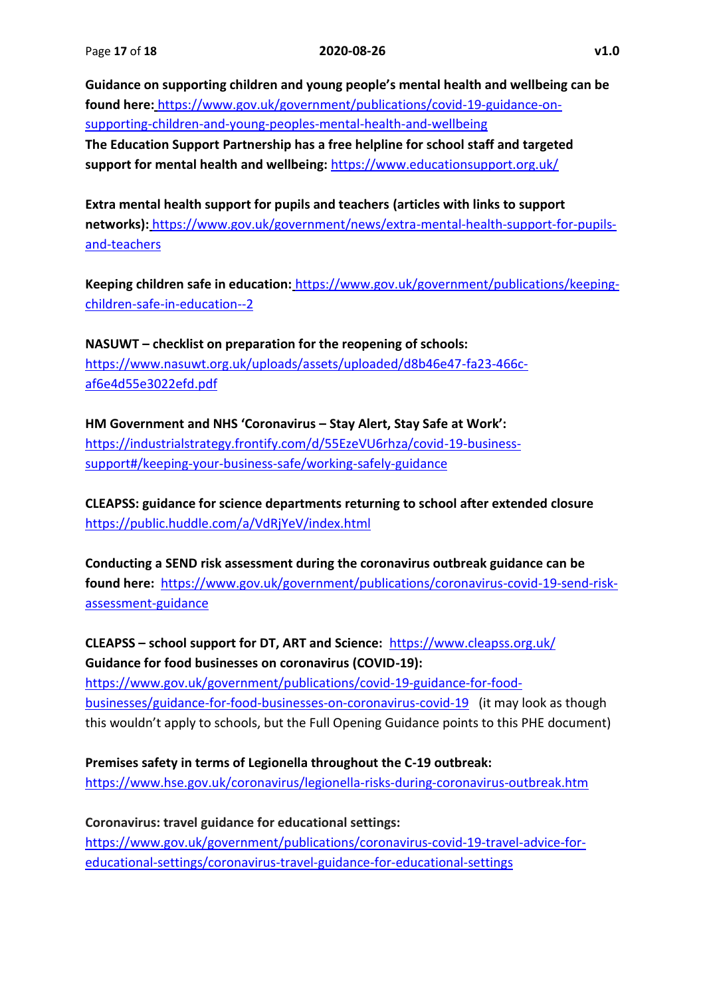**Guidance on supporting children and young people's mental health and wellbeing can be found here:** [https://www.gov.uk/government/publications/covid-19-guidance-on](https://www.gov.uk/government/publications/covid-19-guidance-on-supporting-children-and-young-peoples-mental-health-and-wellbeing)[supporting-children-and-young-peoples-mental-health-and-wellbeing](https://www.gov.uk/government/publications/covid-19-guidance-on-supporting-children-and-young-peoples-mental-health-and-wellbeing) **The Education Support Partnership has a free helpline for school staff and targeted support for mental health and wellbeing:** <https://www.educationsupport.org.uk/>

**Extra mental health support for pupils and teachers (articles with links to support networks):** [https://www.gov.uk/government/news/extra-mental-health-support-for-pupils](https://www.gov.uk/government/news/extra-mental-health-support-for-pupils-and-teachers)[and-teachers](https://www.gov.uk/government/news/extra-mental-health-support-for-pupils-and-teachers)

**Keeping children safe in education:** https://www.gov.uk/government/publications/keepingchildren-safe-in-education--2

**NASUWT – checklist on preparation for the reopening of schools:**  [https://www.nasuwt.org.uk/uploads/assets/uploaded/d8b46e47-fa23-466c](https://www.nasuwt.org.uk/uploads/assets/uploaded/d8b46e47-fa23-466c-af6e4d55e3022efd.pdf)[af6e4d55e3022efd.pdf](https://www.nasuwt.org.uk/uploads/assets/uploaded/d8b46e47-fa23-466c-af6e4d55e3022efd.pdf)

**HM Government and NHS 'Coronavirus – Stay Alert, Stay Safe at Work':** [https://industrialstrategy.frontify.com/d/55EzeVU6rhza/covid-19-business](https://industrialstrategy.frontify.com/d/55EzeVU6rhza/covid-19-business-support#/keeping-your-business-safe/working-safely-guidance)[support#/keeping-your-business-safe/working-safely-guidance](https://industrialstrategy.frontify.com/d/55EzeVU6rhza/covid-19-business-support#/keeping-your-business-safe/working-safely-guidance)

**CLEAPSS: guidance for science departments returning to school after extended closure** <https://public.huddle.com/a/VdRjYeV/index.html>

**Conducting a SEND risk assessment during the coronavirus outbreak guidance can be found here:** [https://www.gov.uk/government/publications/coronavirus-covid-19-send-risk](https://www.gov.uk/government/publications/coronavirus-covid-19-send-risk-assessment-guidance%22﷟HYPERLINK%20%22https:/www.gov.uk/government/publications/coronavirus-covid-19-send-risk-assessment-guidance)[assessment-guidance](https://www.gov.uk/government/publications/coronavirus-covid-19-send-risk-assessment-guidance%22﷟HYPERLINK%20%22https:/www.gov.uk/government/publications/coronavirus-covid-19-send-risk-assessment-guidance)

**CLEAPSS – school support for DT, ART and Science:** <https://www.cleapss.org.uk/> **Guidance for food businesses on coronavirus (COVID-19):** 

[https://www.gov.uk/government/publications/covid-19-guidance-for-food](https://www.gov.uk/government/publications/covid-19-guidance-for-food-businesses/guidance-for-food-businesses-on-coronavirus-covid-19)[businesses/guidance-for-food-businesses-on-coronavirus-covid-19](https://www.gov.uk/government/publications/covid-19-guidance-for-food-businesses/guidance-for-food-businesses-on-coronavirus-covid-19) (it may look as though this wouldn't apply to schools, but the Full Opening Guidance points to this PHE document)

**Premises safety in terms of Legionella throughout the C-19 outbreak:**  <https://www.hse.gov.uk/coronavirus/legionella-risks-during-coronavirus-outbreak.htm>

**Coronavirus: travel guidance for educational settings:**  [https://www.gov.uk/government/publications/coronavirus-covid-19-travel-advice-for](https://www.gov.uk/government/publications/coronavirus-covid-19-travel-advice-for-educational-settings/coronavirus-travel-guidance-for-educational-settings)[educational-settings/coronavirus-travel-guidance-for-educational-settings](https://www.gov.uk/government/publications/coronavirus-covid-19-travel-advice-for-educational-settings/coronavirus-travel-guidance-for-educational-settings)